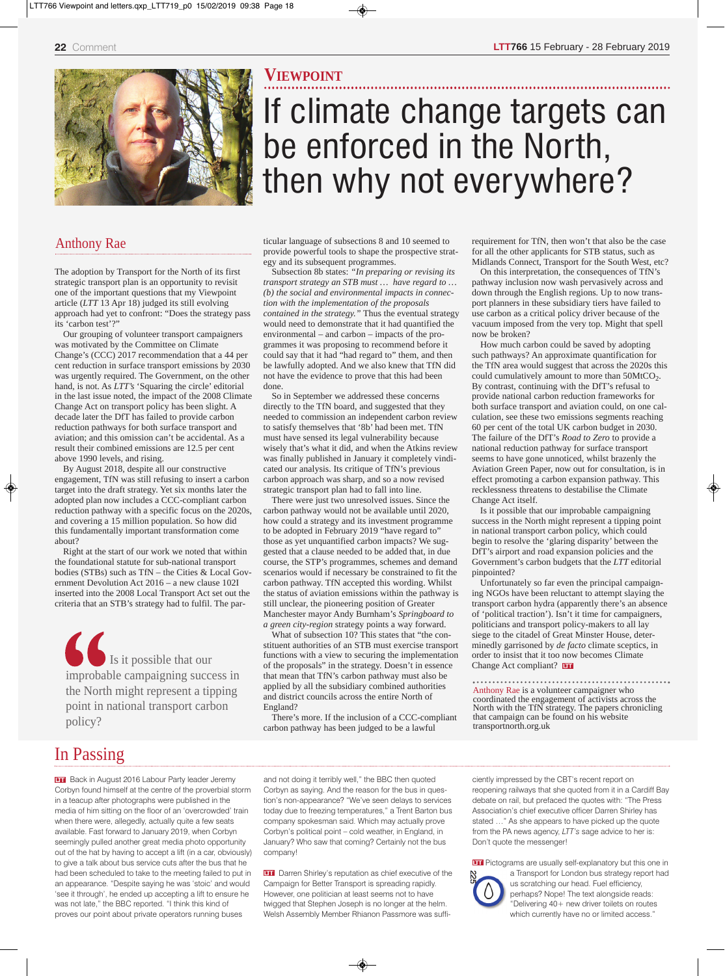

#### Anthony Rae

The adoption by Transport for the North of its first strategic transport plan is an opportunity to revisit one of the important questions that my Viewpoint article (*LTT* 13 Apr 18) judged its still evolving approach had yet to confront: "Does the strategy pass its 'carbon test'?"

Our grouping of volunteer transport campaigners was motivated by the Committee on Climate Change's (CCC) 2017 recommendation that a 44 per cent reduction in surface transport emissions by 2030 was urgently required. The Government, on the other hand, is not. As *LTT's* 'Squaring the circle' editorial in the last issue noted, the impact of the 2008 Climate Change Act on transport policy has been slight. A decade later the DfT has failed to provide carbon reduction pathways for both surface transport and aviation; and this omission can't be accidental. As a result their combined emissions are 12.5 per cent above 1990 levels, and rising.

By August 2018, despite all our constructive engagement, TfN was still refusing to insert a carbon target into the draft strategy. Yet six months later the adopted plan now includes a CCC-compliant carbon reduction pathway with a specific focus on the 2020s, and covering a 15 million population. So how did this fundamentally important transformation come about?

Right at the start of our work we noted that within the foundational statute for sub-national transport bodies (STBs) such as TfN – the Cities & Local Government Devolution Act 2016 – a new clause 102I inserted into the 2008 Local Transport Act set out the criteria that an STB's strategy had to fulfil. The par-

 Is it possible that our improbable campaigning success in the North might represent a tipping point in national transport carbon policy?

#### **VIEWPOINT**

# If climate change targets can be enforced in the North, then why not everywhere?

ticular language of subsections 8 and 10 seemed to provide powerful tools to shape the prospective strategy and its subsequent programmes.

Subsection 8b states: *"In preparing or revising its transport strategy an STB must … have regard to … (b) the social and environmental impacts in connection with the implementation of the proposals contained in the strategy."* Thus the eventual strategy would need to demonstrate that it had quantified the environmental – and carbon – impacts of the programmes it was proposing to recommend before it could say that it had "had regard to" them, and then be lawfully adopted. And we also knew that TfN did not have the evidence to prove that this had been done.

So in September we addressed these concerns directly to the TfN board, and suggested that they needed to commission an independent carbon review to satisfy themselves that '8b' had been met. TfN must have sensed its legal vulnerability because wisely that's what it did, and when the Atkins review was finally published in January it completely vindicated our analysis. Its critique of TfN's previous carbon approach was sharp, and so a now revised strategic transport plan had to fall into line.

There were just two unresolved issues. Since the carbon pathway would not be available until 2020, how could a strategy and its investment programme to be adopted in February 2019 "have regard to" those as yet unquantified carbon impacts? We suggested that a clause needed to be added that, in due course, the STP's programmes, schemes and demand scenarios would if necessary be constrained to fit the carbon pathway. TfN accepted this wording. Whilst the status of aviation emissions within the pathway is still unclear, the pioneering position of Greater Manchester mayor Andy Burnham's *Springboard to a green city-region* strategy points a way forward.

What of subsection 10? This states that "the constituent authorities of an STB must exercise transport functions with a view to securing the implementation of the proposals" in the strategy. Doesn't in essence that mean that TfN's carbon pathway must also be applied by all the subsidiary combined authorities and district councils across the entire North of England?

There's more. If the inclusion of a CCC-compliant carbon pathway has been judged to be a lawful

requirement for TfN, then won't that also be the case for all the other applicants for STB status, such as Midlands Connect, Transport for the South West, etc?

On this interpretation, the consequences of TfN's pathway inclusion now wash pervasively across and down through the English regions. Up to now transport planners in these subsidiary tiers have failed to use carbon as a critical policy driver because of the vacuum imposed from the very top. Might that spell now be broken?

How much carbon could be saved by adopting such pathways? An approximate quantification for the TfN area would suggest that across the 2020s this could cumulatively amount to more than  $50MtCO<sub>2</sub>$ . By contrast, continuing with the DfT's refusal to provide national carbon reduction frameworks for both surface transport and aviation could, on one calculation, see these two emissions segments reaching 60 per cent of the total UK carbon budget in 2030. The failure of the DfT's *Road to Zero* to provide a national reduction pathway for surface transport seems to have gone unnoticed, whilst brazenly the Aviation Green Paper, now out for consultation, is in effect promoting a carbon expansion pathway. This recklessness threatens to destabilise the Climate Change Act itself.

◈

Is it possible that our improbable campaigning success in the North might represent a tipping point in national transport carbon policy, which could begin to resolve the 'glaring disparity' between the DfT's airport and road expansion policies and the Government's carbon budgets that the *LTT* editorial pinpointed?

Unfortunately so far even the principal campaigning NGOs have been reluctant to attempt slaying the transport carbon hydra (apparently there's an absence of 'political traction'). Isn't it time for campaigners, politicians and transport policy-makers to all lay siege to the citadel of Great Minster House, determinedly garrisoned by *de facto* climate sceptics, in order to insist that it too now becomes Climate Change Act compliant? **DT** 

Anthony Rae is <sup>a</sup> volunteer campaigner who coordinated the engagement of activists across the North with the TfN strategy. The papers chronicling that campaign can be found on his website transportnorth.org.uk

## In Passing

**Back in August 2016 Labour Party leader Jeremy** Corbyn found himself at the centre of the proverbial storm in a teacup after photographs were published in the media of him sitting on the floor of an 'overcrowded' train when there were, allegedly, actually quite a few seats available. Fast forward to January 2019, when Corbyn seemingly pulled another great media photo opportunity out of the hat by having to accept a lift (in a car, obviously) to give a talk about bus service cuts after the bus that he had been scheduled to take to the meeting failed to put in an appearance. "Despite saying he was 'stoic' and would 'see it through', he ended up accepting a lift to ensure he was not late," the BBC reported. "I think this kind of proves our point about private operators running buses

and not doing it terribly well," the BBC then quoted Corbyn as saying. And the reason for the bus in question's non-appearance? "We've seen delays to services today due to freezing temperatures," a Trent Barton bus company spokesman said. Which may actually prove Corbyn's political point – cold weather, in England, in January? Who saw that coming? Certainly not the bus company!

**Darren Shirley's reputation as chief executive of the** Campaign for Better Transport is spreading rapidly. However, one politician at least seems not to have twigged that Stephen Joseph is no longer at the helm. Welsh Assembly Member Rhianon Passmore was suffi-

ciently impressed by the CBT's recent report on reopening railways that she quoted from it in a Cardiff Bay debate on rail, but prefaced the quotes with: "The Press Association's chief executive officer Darren Shirley has stated …" As she appears to have picked up the quote from the PA news agency, *LTT's* sage advice to her is: Don't quote the messenger!

**Pictograms are usually self-explanatory but this one in** a Transport for London bus strategy report had us scratching our head. Fuel efficiency, perhaps? Nope! The text alongside reads: "Delivering 40+ new driver toilets on routes which currently have no or limited access."